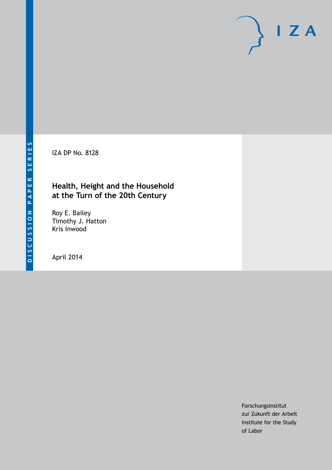IZA DP No. 8128

# **Health, Height and the Household at the Turn of the 20th Century**

Roy E. Bailey Timothy J. Hatton Kris Inwood

April 2014

Forschungsinstitut zur Zukunft der Arbeit Institute for the Study of Labor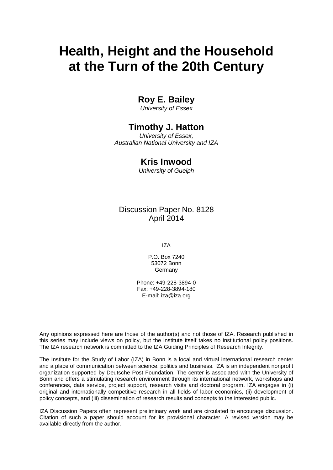# **Health, Height and the Household at the Turn of the 20th Century**

# **Roy E. Bailey**

*University of Essex*

# **Timothy J. Hatton**

*University of Essex, Australian National University and IZA*

# **Kris Inwood**

*University of Guelph*

# Discussion Paper No. 8128 April 2014

IZA

P.O. Box 7240 53072 Bonn Germany

Phone: +49-228-3894-0 Fax: +49-228-3894-180 E-mail: [iza@iza.org](mailto:iza@iza.org)

Any opinions expressed here are those of the author(s) and not those of IZA. Research published in this series may include views on policy, but the institute itself takes no institutional policy positions. The IZA research network is committed to the IZA Guiding Principles of Research Integrity.

The Institute for the Study of Labor (IZA) in Bonn is a local and virtual international research center and a place of communication between science, politics and business. IZA is an independent nonprofit organization supported by Deutsche Post Foundation. The center is associated with the University of Bonn and offers a stimulating research environment through its international network, workshops and conferences, data service, project support, research visits and doctoral program. IZA engages in (i) original and internationally competitive research in all fields of labor economics, (ii) development of policy concepts, and (iii) dissemination of research results and concepts to the interested public.

IZA Discussion Papers often represent preliminary work and are circulated to encourage discussion. Citation of such a paper should account for its provisional character. A revised version may be available directly from the author.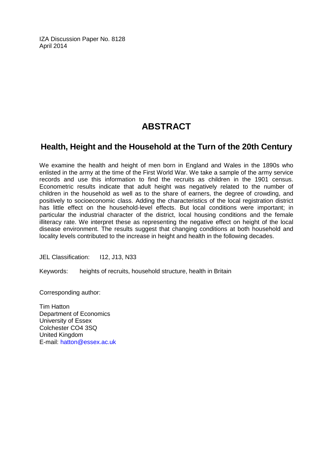IZA Discussion Paper No. 8128 April 2014

# **ABSTRACT**

# **Health, Height and the Household at the Turn of the 20th Century**

We examine the health and height of men born in England and Wales in the 1890s who enlisted in the army at the time of the First World War. We take a sample of the army service records and use this information to find the recruits as children in the 1901 census. Econometric results indicate that adult height was negatively related to the number of children in the household as well as to the share of earners, the degree of crowding, and positively to socioeconomic class. Adding the characteristics of the local registration district has little effect on the household-level effects. But local conditions were important; in particular the industrial character of the district, local housing conditions and the female illiteracy rate. We interpret these as representing the negative effect on height of the local disease environment. The results suggest that changing conditions at both household and locality levels contributed to the increase in height and health in the following decades.

JEL Classification: I12, J13, N33

Keywords: heights of recruits, household structure, health in Britain

Corresponding author:

Tim Hatton Department of Economics University of Essex Colchester CO4 3SQ United Kingdom E-mail: [hatton@essex.ac.uk](mailto:hatton@essex.ac.uk)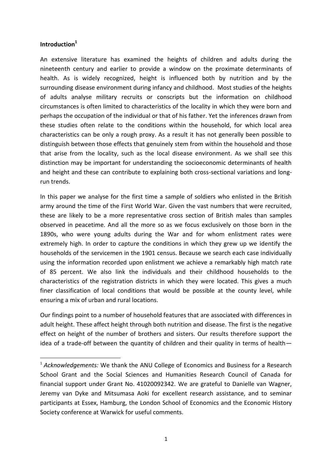#### **Introduction<sup>1</sup>**

 $\overline{a}$ 

An extensive literature has examined the heights of children and adults during the nineteenth century and earlier to provide a window on the proximate determinants of health. As is widely recognized, height is influenced both by nutrition and by the surrounding disease environment during infancy and childhood. Most studies of the heights of adults analyse military recruits or conscripts but the information on childhood circumstances is often limited to characteristics of the locality in which they were born and perhaps the occupation of the individual or that of his father. Yet the inferences drawn from these studies often relate to the conditions within the household, for which local area characteristics can be only a rough proxy. As a result it has not generally been possible to distinguish between those effects that genuinely stem from within the household and those that arise from the locality, such as the local disease environment. As we shall see this distinction may be important for understanding the socioeconomic determinants of health and height and these can contribute to explaining both cross-sectional variations and longrun trends.

In this paper we analyse for the first time a sample of soldiers who enlisted in the British army around the time of the First World War. Given the vast numbers that were recruited, these are likely to be a more representative cross section of British males than samples observed in peacetime. And all the more so as we focus exclusively on those born in the 1890s, who were young adults during the War and for whom enlistment rates were extremely high. In order to capture the conditions in which they grew up we identify the households of the servicemen in the 1901 census. Because we search each case individually using the information recorded upon enlistment we achieve a remarkably high match rate of 85 percent. We also link the individuals and their childhood households to the characteristics of the registration districts in which they were located. This gives a much finer classification of local conditions that would be possible at the county level, while ensuring a mix of urban and rural locations.

Our findings point to a number of household features that are associated with differences in adult height. These affect height through both nutrition and disease. The first is the negative effect on height of the number of brothers and sisters. Our results therefore support the idea of a trade-off between the quantity of children and their quality in terms of health—

<sup>&</sup>lt;sup>1</sup> Acknowledgements: We thank the ANU College of Economics and Business for a Research School Grant and the Social Sciences and Humanities Research Council of Canada for financial support under Grant No. 41020092342. We are grateful to Danielle van Wagner, Jeremy van Dyke and Mitsumasa Aoki for excellent research assistance, and to seminar participants at Essex, Hamburg, the London School of Economics and the Economic History Society conference at Warwick for useful comments.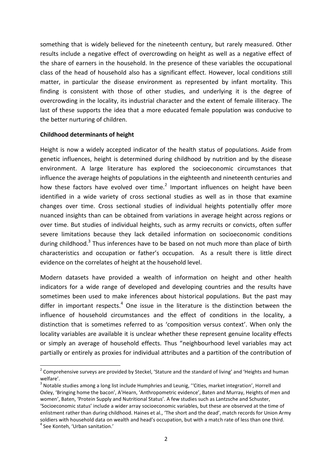something that is widely believed for the nineteenth century, but rarely measured. Other results include a negative effect of overcrowding on height as well as a negative effect of the share of earners in the household. In the presence of these variables the occupational class of the head of household also has a significant effect. However, local conditions still matter, in particular the disease environment as represented by infant mortality. This finding is consistent with those of other studies, and underlying it is the degree of overcrowding in the locality, its industrial character and the extent of female illiteracy. The last of these supports the idea that a more educated female population was conducive to the better nurturing of children.

#### **Childhood determinants of height**

Height is now a widely accepted indicator of the health status of populations. Aside from genetic influences, height is determined during childhood by nutrition and by the disease environment. A large literature has explored the socioeconomic circumstances that influence the average heights of populations in the eighteenth and nineteenth centuries and how these factors have evolved over time.<sup>2</sup> Important influences on height have been identified in a wide variety of cross sectional studies as well as in those that examine changes over time. Cross sectional studies of individual heights potentially offer more nuanced insights than can be obtained from variations in average height across regions or over time. But studies of individual heights, such as army recruits or convicts, often suffer severe limitations because they lack detailed information on socioeconomic conditions during childhood.<sup>3</sup> Thus inferences have to be based on not much more than place of birth characteristics and occupation or father's occupation. As a result there is little direct evidence on the correlates of height at the household level.

Modern datasets have provided a wealth of information on height and other health indicators for a wide range of developed and developing countries and the results have sometimes been used to make inferences about historical populations. But the past may differ in important respects.<sup>4</sup> One issue in the literature is the distinction between the influence of household circumstances and the effect of conditions in the locality, a distinction that is sometimes referred to as 'composition versus context'. When only the locality variables are available it is unclear whether these represent genuine locality effects or simply an average of household effects. Thus "neighbourhood level variables may act partially or entirely as proxies for individual attributes and a partition of the contribution of

 2 Comprehensive surveys are provided by Steckel, 'Stature and the standard of living' and 'Heights and human welfare'.

 $3$  Notable studies among a long list include Humphries and Leunig, "Cities, market integration', Horrell and Oxley, 'Bringing home the bacon', A'Hearn, 'Anthropometric evidence', Baten and Murray, Heights of men and women', Baten, 'Protein Supply and Nutritional Status'. A few studies such as Lantzsche and Schuster, 'Socioeconomic status' include a wider array socioeconomic variables, but these are observed at the time of enlistment rather than during childhood. Haines et al., 'The short and the dead', match records for Union Army soldiers with household data on wealth and head's occupation, but with a match rate of less than one third. 4 See Konteh, 'Urban sanitation.'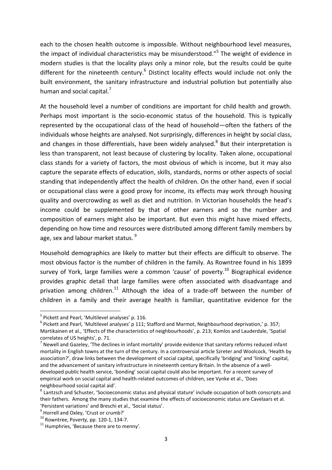each to the chosen health outcome is impossible. Without neighbourhood level measures, the impact of individual characteristics may be misunderstood."<sup>5</sup> The weight of evidence in modern studies is that the locality plays only a minor role, but the results could be quite different for the nineteenth century.<sup>6</sup> Distinct locality effects would include not only the built environment, the sanitary infrastructure and industrial pollution but potentially also human and social capital. $<sup>7</sup>$ </sup>

At the household level a number of conditions are important for child health and growth. Perhaps most important is the socio-economic status of the household. This is typically represented by the occupational class of the head of household—often the fathers of the individuals whose heights are analysed. Not surprisingly, differences in height by social class, and changes in those differentials, have been widely analysed. $8$  But their interpretation is less than transparent, not least because of clustering by locality. Taken alone, occupational class stands for a variety of factors, the most obvious of which is income, but it may also capture the separate effects of education, skills, standards, norms or other aspects of social standing that independently affect the health of children. On the other hand, even if social or occupational class were a good proxy for income, its effects may work through housing quality and overcrowding as well as diet and nutrition. In Victorian households the head's income could be supplemented by that of other earners and so the number and composition of earners might also be important. But even this might have mixed effects, depending on how time and resources were distributed among different family members by age, sex and labour market status. <sup>9</sup>

Household demographics are likely to matter but their effects are difficult to observe. The most obvious factor is the number of children in the family. As Rowntree found in his 1899 survey of York, large families were a common 'cause' of poverty.<sup>10</sup> Biographical evidence provides graphic detail that large families were often associated with disadvantage and privation among children.<sup>11</sup> Although the idea of a trade-off between the number of children in a family and their average health is familiar, quantitative evidence for the

<sup>&</sup>lt;sup>5</sup> Pickett and Pearl, 'Multilevel analyses' p. 116.

 $^6$  Pickett and Pearl, 'Multilevel analyses' p 111; Stafford and Marmot, Neighbourhood deprivation,' p. 357; Martikainen et al., 'Effects of the characteristics of neighbourhoods', p. 213; Komlos and Lauderdale, 'Spatial correlates of US heights', p. 71.

 $^7$  Newell and Gazeley, 'The declines in infant mortality' provide evidence that sanitary reforms reduced infant mortality in English towns at the turn of the century. In a controversial article Szreter and Woolcock, 'Health by association?', draw links between the development of social capital, specifically 'bridging' and 'linking' capital, and the advancement of sanitary infrastructure in nineteenth century Britain. In the absence of a welldeveloped public health service, 'bonding' social capital could also be important. For a recent survey of empirical work on social capital and health-related outcomes of children, see Vynke et al., 'Does neighbourhood social capital aid'.

<sup>&</sup>lt;sup>8</sup> Lantzsch and Schuster, 'Socioeconomic status and physical stature' include occupation of both conscripts and their fathers. Among the many studies that examine the effects of socioeconomic status are Cavelaars et al. 'Persistent variations' and Breschi et al., 'Social status'.

<sup>&</sup>lt;sup>9</sup> Horrell and Oxley, 'Crust or crumb?'

<sup>10</sup> Rowntree, P*overty,* pp. 120-1, 134-7.

 $11$  Humphries, 'Because there are to menny'.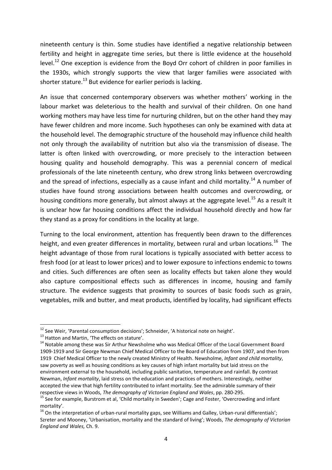nineteenth century is thin. Some studies have identified a negative relationship between fertility and height in aggregate time series, but there is little evidence at the household level.<sup>12</sup> One exception is evidence from the Boyd Orr cohort of children in poor families in the 1930s, which strongly supports the view that larger families were associated with shorter stature.<sup>13</sup> But evidence for earlier periods is lacking.

An issue that concerned contemporary observers was whether mothers' working in the labour market was deleterious to the health and survival of their children. On one hand working mothers may have less time for nurturing children, but on the other hand they may have fewer children and more income. Such hypotheses can only be examined with data at the household level. The demographic structure of the household may influence child health not only through the availability of nutrition but also via the transmission of disease. The latter is often linked with overcrowding, or more precisely to the interaction between housing quality and household demography. This was a perennial concern of medical professionals of the late nineteenth century, who drew strong links between overcrowding and the spread of infections, especially as a cause infant and child mortality.<sup>14</sup> A number of studies have found strong associations between health outcomes and overcrowding, or housing conditions more generally, but almost always at the aggregate level.<sup>15</sup> As a result it is unclear how far housing conditions affect the individual household directly and how far they stand as a proxy for conditions in the locality at large.

Turning to the local environment, attention has frequently been drawn to the differences height, and even greater differences in mortality, between rural and urban locations.<sup>16</sup> The height advantage of those from rural locations is typically associated with better access to fresh food (or at least to lower prices) and to lower exposure to infections endemic to towns and cities. Such differences are often seen as locality effects but taken alone they would also capture compositional effects such as differences in income, housing and family structure. The evidence suggests that proximity to sources of basic foods such as grain, vegetables, milk and butter, and meat products, identified by locality, had significant effects

 $12$  See Weir, 'Parental consumption decisions'; Schneider, 'A historical note on height'.

<sup>&</sup>lt;sup>13</sup> Hatton and Martin, 'The effects on stature'.

<sup>&</sup>lt;sup>14</sup> Notable among these was Sir Arthur Newsholme who was Medical Officer of the Local Government Board 1909-1919 and Sir George Newman Chief Medical Officer to the Board of Education from 1907, and then from 1919 Chief Medical Officer to the newly created Ministry of Health. Newsholme, *Infant and child mortality*, saw poverty as well as housing conditions as key causes of high infant mortality but laid stress on the environment external to the household, including public sanitation, temperature and rainfall. By contrast Newman, *Infant mortality*, laid stress on the education and practices of mothers. Interestingly, neither accepted the view that high fertility contributed to infant mortality. See the admirable summary of their respective views in Woods, *The demography of Victorian England and Wales*, pp. 280-295.

<sup>&</sup>lt;sup>15</sup> See for example, Burstrom et al, 'Child mortality in Sweden'; Cage and Foster, 'Overcrowding and infant mortality'.

 $16$  On the interpretation of urban-rural mortality gaps, see Williams and Galley, Urban-rural differentials'; Szreter and Mooney, 'Urbanisation, mortality and the standard of living'; Woods, *The demography of Victorian England and Wales,* Ch. 9.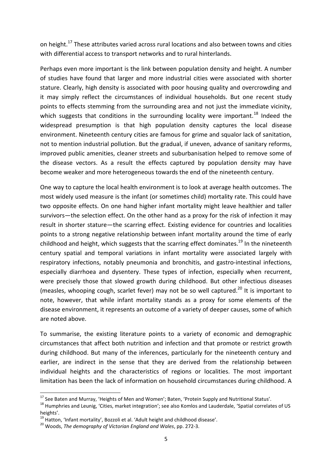on height.<sup>17</sup> These attributes varied across rural locations and also between towns and cities with differential access to transport networks and to rural hinterlands.

Perhaps even more important is the link between population density and height. A number of studies have found that larger and more industrial cities were associated with shorter stature. Clearly, high density is associated with poor housing quality and overcrowding and it may simply reflect the circumstances of individual households. But one recent study points to effects stemming from the surrounding area and not just the immediate vicinity, which suggests that conditions in the surrounding locality were important.<sup>18</sup> Indeed the widespread presumption is that high population density captures the local disease environment. Nineteenth century cities are famous for grime and squalor lack of sanitation, not to mention industrial pollution. But the gradual, if uneven, advance of sanitary reforms, improved public amenities, cleaner streets and suburbanisation helped to remove some of the disease vectors. As a result the effects captured by population density may have become weaker and more heterogeneous towards the end of the nineteenth century.

One way to capture the local health environment is to look at average health outcomes. The most widely used measure is the infant (or sometimes child) mortality rate. This could have two opposite effects. On one hand higher infant mortality might leave healthier and taller survivors—the selection effect. On the other hand as a proxy for the risk of infection it may result in shorter stature—the scarring effect. Existing evidence for countries and localities points to a strong negative relationship between infant mortality around the time of early childhood and height, which suggests that the scarring effect dominates.<sup>19</sup> In the nineteenth century spatial and temporal variations in infant mortality were associated largely with respiratory infections, notably pneumonia and bronchitis, and gastro-intestinal infections, especially diarrhoea and dysentery. These types of infection, especially when recurrent, were precisely those that slowed growth during childhood. But other infectious diseases (measles, whooping cough, scarlet fever) may not be so well captured.<sup>20</sup> It is important to note, however, that while infant mortality stands as a proxy for some elements of the disease environment, it represents an outcome of a variety of deeper causes, some of which are noted above.

To summarise, the existing literature points to a variety of economic and demographic circumstances that affect both nutrition and infection and that promote or restrict growth during childhood. But many of the inferences, particularly for the nineteenth century and earlier, are indirect in the sense that they are derived from the relationship between individual heights and the characteristics of regions or localities. The most important limitation has been the lack of information on household circumstances during childhood. A

 $\overline{a}$ 

<sup>&</sup>lt;sup>17</sup> See Baten and Murray, 'Heights of Men and Women'; Baten, 'Protein Supply and Nutritional Status'.

<sup>&</sup>lt;sup>18</sup> Humphries and Leunig, 'Cities, market integration'; see also Komlos and Lauderdale, 'Spatial correlates of US heights'.

<sup>&</sup>lt;sup>19</sup> Hatton, 'Infant mortality', Bozzoli et al. 'Adult height and childhood disease'.

<sup>20</sup> Woods, *The demography of Victorian England and Wales*, pp. 272-3.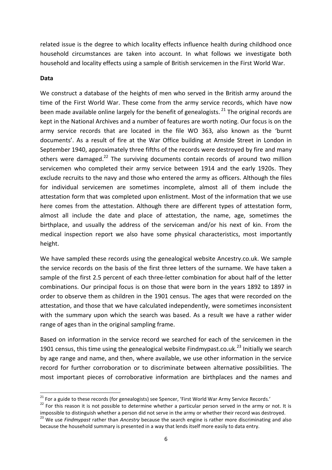related issue is the degree to which locality effects influence health during childhood once household circumstances are taken into account. In what follows we investigate both household and locality effects using a sample of British servicemen in the First World War.

#### **Data**

 $\overline{a}$ 

We construct a database of the heights of men who served in the British army around the time of the First World War. These come from the army service records, which have now been made available online largely for the benefit of genealogists.  $^{21}$  The original records are kept in the National Archives and a number of features are worth noting. Our focus is on the army service records that are located in the file WO 363, also known as the 'burnt documents'. As a result of fire at the War Office building at Arnside Street in London in September 1940, approximately three fifths of the records were destroyed by fire and many others were damaged.<sup>22</sup> The surviving documents contain records of around two million servicemen who completed their army service between 1914 and the early 1920s. They exclude recruits to the navy and those who entered the army as officers. Although the files for individual servicemen are sometimes incomplete, almost all of them include the attestation form that was completed upon enlistment. Most of the information that we use here comes from the attestation. Although there are different types of attestation form, almost all include the date and place of attestation, the name, age, sometimes the birthplace, and usually the address of the serviceman and/or his next of kin. From the medical inspection report we also have some physical characteristics, most importantly height.

We have sampled these records using the genealogical website Ancestry.co.uk. We sample the service records on the basis of the first three letters of the surname. We have taken a sample of the first 2.5 percent of each three-letter combination for about half of the letter combinations. Our principal focus is on those that were born in the years 1892 to 1897 in order to observe them as children in the 1901 census. The ages that were recorded on the attestation, and those that we have calculated independently, were sometimes inconsistent with the summary upon which the search was based. As a result we have a rather wider range of ages than in the original sampling frame.

Based on information in the service record we searched for each of the servicemen in the 1901 census, this time using the genealogical website Findmypast.co.uk.<sup>23</sup> Initially we search by age range and name, and then, where available, we use other information in the service record for further corroboration or to discriminate between alternative possibilities. The most important pieces of corroborative information are birthplaces and the names and

<sup>&</sup>lt;sup>21</sup> For a guide to these records (for genealogists) see Spencer, 'First World War Army Service Records.'

<sup>&</sup>lt;sup>22</sup> For this reason it is not possible to determine whether a particular person served in the army or not. It is impossible to distinguish whether a person did not serve in the army or whether their record was destroyed.

<sup>23</sup> We use *Findmypast* rather than *Ancestry* because the search engine is rather more discriminating and also because the household summary is presented in a way that lends itself more easily to data entry.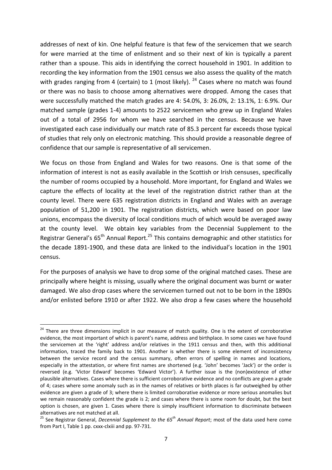addresses of next of kin. One helpful feature is that few of the servicemen that we search for were married at the time of enlistment and so their next of kin is typically a parent rather than a spouse. This aids in identifying the correct household in 1901. In addition to recording the key information from the 1901 census we also assess the quality of the match with grades ranging from 4 (certain) to 1 (most likely).  $^{24}$  Cases where no match was found or there was no basis to choose among alternatives were dropped. Among the cases that were successfully matched the match grades are 4: 54.0%, 3: 26.0%, 2: 13.1%, 1: 6.9%. Our matched sample (grades 1-4) amounts to 2522 servicemen who grew up in England Wales out of a total of 2956 for whom we have searched in the census. Because we have investigated each case individually our match rate of 85.3 percent far exceeds those typical of studies that rely only on electronic matching. This should provide a reasonable degree of confidence that our sample is representative of all servicemen.

We focus on those from England and Wales for two reasons. One is that some of the information of interest is not as easily available in the Scottish or Irish censuses, specifically the number of rooms occupied by a household. More important, for England and Wales we capture the effects of locality at the level of the registration district rather than at the county level. There were 635 registration districts in England and Wales with an average population of 51,200 in 1901. The registration districts, which were based on poor law unions, encompass the diversity of local conditions much of which would be averaged away at the county level. We obtain key variables from the Decennial Supplement to the Registrar General's  $65<sup>th</sup>$  Annual Report.<sup>25</sup> This contains demographic and other statistics for the decade 1891-1900, and these data are linked to the individual's location in the 1901 census.

For the purposes of analysis we have to drop some of the original matched cases. These are principally where height is missing, usually where the original document was burnt or water damaged. We also drop cases where the servicemen turned out not to be born in the 1890s and/or enlisted before 1910 or after 1922. We also drop a few cases where the household

<sup>&</sup>lt;sup>24</sup> There are three dimensions implicit in our measure of match quality. One is the extent of corroborative evidence, the most important of which is parent's name, address and birthplace. In some cases we have found the servicemen at the 'right' address and/or relatives in the 1911 census and then, with this additional information, traced the family back to 1901. Another is whether there is some element of inconsistency between the service record and the census summary, often errors of spelling in names and locations, especially in the attestation, or where first names are shortened (e.g. 'John' becomes 'Jack') or the order is reversed (e.g. 'Victor Edward' becomes 'Edward Victor'). A further issue is the (non)existence of other plausible alternatives. Cases where there is sufficient corroborative evidence and no conflicts are given a grade of 4; cases where some anomaly such as in the names of relatives or birth places is far outweighed by other evidence are given a grade of 3; where there is limited corroborative evidence or more serious anomalies but we remain reasonably confident the grade is 2; and cases where there is some room for doubt, but the best option is chosen, are given 1. Cases where there is simply insufficient information to discriminate between alternatives are not matched at all.

<sup>25</sup> See Registrar General, *Decennial Supplement to the 65th Annual Report*; most of the data used here come from Part I, Table 1 pp. cxxx-clxiii and pp. 97-731.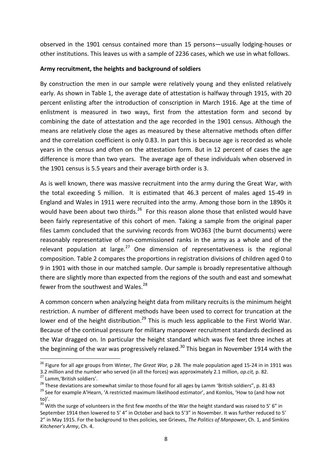observed in the 1901 census contained more than 15 persons—usually lodging-houses or other institutions. This leaves us with a sample of 2236 cases, which we use in what follows.

#### **Army recruitment, the heights and background of soldiers**

By construction the men in our sample were relatively young and they enlisted relatively early. As shown in Table 1, the average date of attestation is halfway through 1915, with 20 percent enlisting after the introduction of conscription in March 1916. Age at the time of enlistment is measured in two ways, first from the attestation form and second by combining the date of attestation and the age recorded in the 1901 census. Although the means are relatively close the ages as measured by these alternative methods often differ and the correlation coefficient is only 0.83. In part this is because age is recorded as whole years in the census and often on the attestation form. But in 12 percent of cases the age difference is more than two years. The average age of these individuals when observed in the 1901 census is 5.5 years and their average birth order is 3.

As is well known, there was massive recruitment into the army during the Great War, with the total exceeding 5 million. It is estimated that 46.3 percent of males aged 15-49 in England and Wales in 1911 were recruited into the army. Among those born in the 1890s it would have been about two thirds. $^{26}$  For this reason alone those that enlisted would have been fairly representative of this cohort of men. Taking a sample from the original paper files Lamm concluded that the surviving records from WO363 (the burnt documents) were reasonably representative of non-commissioned ranks in the army as a whole and of the relevant population at large.<sup>27</sup> One dimension of representativeness is the regional composition. Table 2 compares the proportions in registration divisions of children aged 0 to 9 in 1901 with those in our matched sample. Our sample is broadly representative although there are slightly more than expected from the regions of the south and east and somewhat fewer from the southwest and Wales. $^{28}$ 

A common concern when analyzing height data from military recruits is the minimum height restriction. A number of different methods have been used to correct for truncation at the lower end of the height distribution.<sup>29</sup> This is much less applicable to the First World War. Because of the continual pressure for military manpower recruitment standards declined as the War dragged on. In particular the height standard which was five feet three inches at the beginning of the war was progressively relaxed.<sup>30</sup> This began in November 1914 with the

<sup>26</sup> Figure for all age groups from Winter, *The Great War,* p 28*.* The male population aged 15-24 in in 1911 was 3.2 million and the number who served (in all the forces) was approximately 2.1 million, *op.cit,* p. 82.

<sup>27</sup> Lamm,'British soldiers'.

<sup>&</sup>lt;sup>28</sup> These deviations are somewhat similar to those found for all ages by Lamm 'British soldiers", p. 81-83

<sup>&</sup>lt;sup>29</sup> See for example A'Hearn, 'A restricted maximum likelihood estimator', and Komlos, 'How to (and how not to)'.

 $30\text{ }\dot{\text{W}}$  with the surge of volunteers in the first few months of the War the height standard was raised to 5' 6" in September 1914 then lowered to 5' 4" in October and back to 5'3" in November. It was further reduced to 5' 2" in May 1915. For the background to thes policies, see Grieves, *The Politics of Manpower*, Ch. 1, and Simkins *Kitchener's Army*, Ch. 4.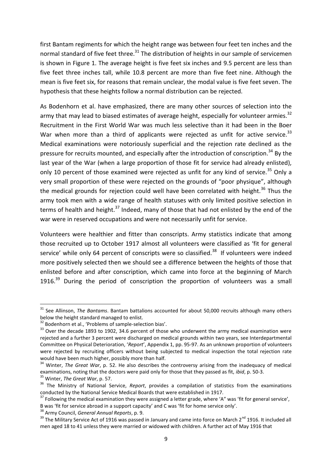first Bantam regiments for which the height range was between four feet ten inches and the normal standard of five feet three.<sup>31</sup> The distribution of heights in our sample of servicemen is shown in Figure 1. The average height is five feet six inches and 9.5 percent are less than five feet three inches tall, while 10.8 percent are more than five feet nine. Although the mean is five feet six, for reasons that remain unclear, the modal value is five feet seven. The hypothesis that these heights follow a normal distribution can be rejected.

As Bodenhorn et al. have emphasized, there are many other sources of selection into the army that may lead to biased estimates of average height, especially for volunteer armies.<sup>32</sup> Recruitment in the First World War was much less selective than it had been in the Boer War when more than a third of applicants were rejected as unfit for active service.<sup>33</sup> Medical examinations were notoriously superficial and the rejection rate declined as the pressure for recruits mounted, and especially after the introduction of conscription.<sup>34</sup> By the last year of the War (when a large proportion of those fit for service had already enlisted), only 10 percent of those examined were rejected as unfit for any kind of service.<sup>35</sup> Only a very small proportion of these were rejected on the grounds of "poor physique", although the medical grounds for rejection could well have been correlated with height.<sup>36</sup> Thus the army took men with a wide range of health statuses with only limited positive selection in terms of health and height.<sup>37</sup> Indeed, many of those that had not enlisted by the end of the war were in reserved occupations and were not necessarily unfit for service.

Volunteers were healthier and fitter than conscripts. Army statistics indicate that among those recruited up to October 1917 almost all volunteers were classified as 'fit for general service' while only 64 percent of conscripts were so classified.<sup>38</sup> If volunteers were indeed more positively selected then we should see a difference between the heights of those that enlisted before and after conscription, which came into force at the beginning of March 1916.<sup>39</sup> During the period of conscription the proportion of volunteers was a small

1

<sup>31</sup> See Allinson, *The Bantams*. Bantam battalions accounted for about 50,000 recruits although many others below the height standard managed to enlist.

<sup>&</sup>lt;sup>32</sup> Bodenhorn et al., 'Problems of sample-selection bias'.

<sup>&</sup>lt;sup>33</sup> Over the decade 1893 to 1902, 34.6 percent of those who underwent the army medical examination were rejected and a further 3 percent were discharged on medical grounds within two years, see Interdepartmental Committee on Physical Deterioration, '*Report*', Appendix 1, pp. 95-97. As an unknown proportion of volunteers were rejected by recruiting officers without being subjected to medical inspection the total rejection rate would have been much higher, possibly more than half.

<sup>&</sup>lt;sup>34</sup> Winter, *The Great War*, p. 52. He also describes the controversy arising from the inadequacy of medical examinations, noting that the doctors were paid only for those that they passed as fit, *ibid*, p. 50-3. <sup>35</sup> Winter, *The Great War*, p. 57.

<sup>36</sup> The Ministry of National Service, *Report*, provides a compilation of statistics from the examinations conducted by the National Service Medical Boards that were established in 1917.

 $37$  Following the medical examination they were assigned a letter grade, where 'A" was 'fit for general service',

B was 'fit for service abroad in a support capacity' and C was 'fit for home service only'.

<sup>38</sup> Army Council, *General Annual Reports*, p. 9.

<sup>&</sup>lt;sup>39</sup> The Military Service Act of 1916 was passed in January and came into force on March 2<sup>nd</sup> 1916. It included all men aged 18 to 41 unless they were married or widowed with children. A further act of May 1916 that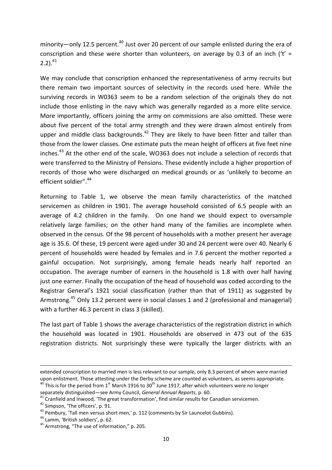minority—only 12.5 percent.<sup>40</sup> Just over 20 percent of our sample enlisted during the era of conscription and these were shorter than volunteers, on average by 0.3 of an inch ( $t' =$  $2.2$ ).<sup>41</sup>

We may conclude that conscription enhanced the representativeness of army recruits but there remain two important sources of selectivity in the records used here. While the surviving records in W0363 seem to be a random selection of the originals they do not include those enlisting in the navy which was generally regarded as a more elite service. More importantly, officers joining the army on commissions are also omitted. These were about five percent of the total army strength and they were drawn almost entirely from upper and middle class backgrounds.<sup>42</sup> They are likely to have been fitter and taller than those from the lower classes. One estimate puts the mean height of officers at five feet nine inches.<sup>43</sup> At the other end of the scale, WO363 does not include a selection of records that were transferred to the Ministry of Pensions. These evidently include a higher proportion of records of those who were discharged on medical grounds or as 'unlikely to become an efficient soldier".<sup>44</sup>

Returning to Table 1, we observe the mean family characteristics of the matched servicemen as children in 1901. The average household consisted of 6.5 people with an average of 4.2 children in the family. On one hand we should expect to oversample relatively large families; on the other hand many of the families are incomplete when observed in the census. Of the 98 percent of households with a mother present her average age is 35.6. Of these, 19 percent were aged under 30 and 24 percent were over 40. Nearly 6 percent of households were headed by females and in 7.6 percent the mother reported a gainful occupation. Not surprisingly, among female heads nearly half reported an occupation. The average number of earners in the household is 1.8 with over half having just one earner. Finally the occupation of the head of household was coded according to the Registrar General's 1921 social classification (rather than that of 1911) as suggested by Armstrong.<sup>45</sup> Only 13.2 percent were in social classes 1 and 2 (professional and managerial) with a further 46.3 percent in class 3 (skilled).

The last part of Table 1 shows the average characteristics of the registration district in which the household was located in 1901. Households are observed in 473 out of the 635 registration districts. Not surprisingly these were typically the larger districts with an

extended conscription to married men is less relevant to our sample, only 8.3 percent of whom were married upon enlistment. Those attesting under the Derby scheme are counted as volunteers, as seems appropriate.

 $40$  This is for the period from 1<sup>st</sup> March 1916 to 30<sup>th</sup> June 1917, after which volunteers were no longer separately distinguished—see Army Council, *General Annual Reports*, p. 60.

 $41$  Cranfield and Inwood, 'The great transformation', find similar results for Canadian servicemen.

<sup>42</sup> Simpson, 'The officers', p. 91.

 $43$  Pembury, 'Tall men versus short men,' p. 112 (comments by Sir Launcelot Gubbins).

<sup>44</sup> Lamm, 'British soldiers', p. 62.

<sup>45</sup> Armstrong, "The use of information," p. 205.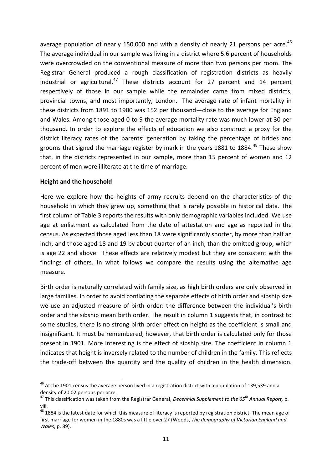average population of nearly 150,000 and with a density of nearly 21 persons per acre.<sup>46</sup> The average individual in our sample was living in a district where 5.6 percent of households were overcrowded on the conventional measure of more than two persons per room. The Registrar General produced a rough classification of registration districts as heavily industrial or agricultural.<sup>47</sup> These districts account for 27 percent and 14 percent respectively of those in our sample while the remainder came from mixed districts, provincial towns, and most importantly, London. The average rate of infant mortality in these districts from 1891 to 1900 was 152 per thousand—close to the average for England and Wales. Among those aged 0 to 9 the average mortality rate was much lower at 30 per thousand. In order to explore the effects of education we also construct a proxy for the district literacy rates of the parents' generation by taking the percentage of brides and grooms that signed the marriage register by mark in the years 1881 to 1884. $^{48}$  These show that, in the districts represented in our sample, more than 15 percent of women and 12 percent of men were illiterate at the time of marriage.

#### **Height and the household**

 $\overline{a}$ 

Here we explore how the heights of army recruits depend on the characteristics of the household in which they grew up, something that is rarely possible in historical data. The first column of Table 3 reports the results with only demographic variables included. We use age at enlistment as calculated from the date of attestation and age as reported in the census. As expected those aged less than 18 were significantly shorter, by more than half an inch, and those aged 18 and 19 by about quarter of an inch, than the omitted group, which is age 22 and above. These effects are relatively modest but they are consistent with the findings of others. In what follows we compare the results using the alternative age measure.

Birth order is naturally correlated with family size, as high birth orders are only observed in large families. In order to avoid conflating the separate effects of birth order and sibship size we use an adjusted measure of birth order: the difference between the individual's birth order and the sibship mean birth order. The result in column 1 suggests that, in contrast to some studies, there is no strong birth order effect on height as the coefficient is small and insignificant. It must be remembered, however, that birth order is calculated only for those present in 1901. More interesting is the effect of sibship size. The coefficient in column 1 indicates that height is inversely related to the number of children in the family. This reflects the trade-off between the quantity and the quality of children in the health dimension.

 $^{46}$  At the 1901 census the average person lived in a registration district with a population of 139,539 and a density of 20.02 persons per acre.

<sup>47</sup> This classification was taken from the Registrar General, *Decennial Supplement to the 65th Annual Report,* p. viii.

<sup>&</sup>lt;sup>48</sup> 1884 is the latest date for which this measure of literacy is reported by registration district. The mean age of first marriage for women in the 1880s was a little over 27 (Woods, *The demography of Victorian England and Wales*, p. 89).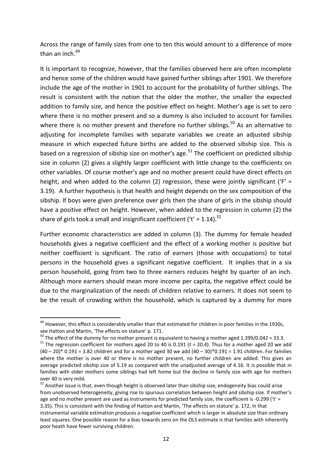Across the range of family sizes from one to ten this would amount to a difference of more than an inch. 49

It is important to recognize, however, that the families observed here are often incomplete and hence some of the children would have gained further siblings after 1901. We therefore include the age of the mother in 1901 to account for the probability of further siblings. The result is consistent with the notion that the older the mother, the smaller the expected addition to family size, and hence the positive effect on height. Mother's age is set to zero where there is no mother present and so a dummy is also included to account for families where there is no mother present and therefore no further siblings.<sup>50</sup> As an alternative to adjusting for incomplete families with separate variables we create an adjusted sibship measure in which expected future births are added to the observed sibship size. This is based on a regression of sibship size on mother's age.<sup>51</sup> The coefficient on predicted sibship size in column (2) gives a slightly larger coefficient with little change to the coefficients on other variables. Of course mother's age and no mother present could have direct effects on height, and when added to the column (2) regression, these were jointly significant ('F' = 3.19). A further hypothesis is that health and height depends on the sex composition of the sibship. If boys were given preference over girls then the share of girls in the sibship should have a positive effect on height. However, when added to the regression in column (2) the share of girls took a small and insignificant coefficient ('t' = 1.14).<sup>52</sup>

Further economic characteristics are added in column (3). The dummy for female headed households gives a negative coefficient and the effect of a working mother is positive but neither coefficient is significant. The ratio of earners (those with occupations) to total persons in the household gives a significant negative coefficient. It implies that in a six person household, going from two to three earners reduces height by quarter of an inch. Although more earners should mean more income per capita, the negative effect could be due to the marginalization of the needs of children relative to earners. It does not seem to be the result of crowding within the household, which is captured by a dummy for more

1

<sup>&</sup>lt;sup>49</sup> However, this effect is considerably smaller than that estimated for children in poor families in the 1930s, see Hatton and Martin, 'The effects on stature' p. 171.

 $50$  The effect of the dummy for no mother present is equivalent to having a mother aged 1.399/0.042 = 33.3.

<sup>51</sup> The regression coefficient for mothers aged 20 to 40 is 0.191 (*t* = 20.4). Thus for a mother aged 20 we add (40 – 20)\* 0.191 = 3.82 children and for a mother aged 30 we add (40 – 30)\*0.191 = 1.91 children. For families where the mother is over 40 or there is no mother present, no further children are added. This gives an average predicted sibship size of 5.19 as compared with the unadjusted average of 4.16. It is possible that in families with older mothers some siblings had left home but the decline in family size with age for mothers over 40 is very mild.

<sup>&</sup>lt;sup>52</sup> Another issue is that, even though height is observed later than sibship size, endogeneity bias could arise from unobserved heterogeneity, giving rise to spurious correlation between height and sibship size. If mother's age and no mother present are used as instruments for predicted family size, the coefficient is -0.299 ('t' = 3.35). This is consistent with the finding of Hatton and Martin, 'The effects on stature' p. 172, in that instrumental variable estimation produces a negative coefficient which is larger in absolute size than ordinary

least squares. One possible reason for a bias towards zero on the OLS estimate is that families with inherently poor heath have fewer surviving children.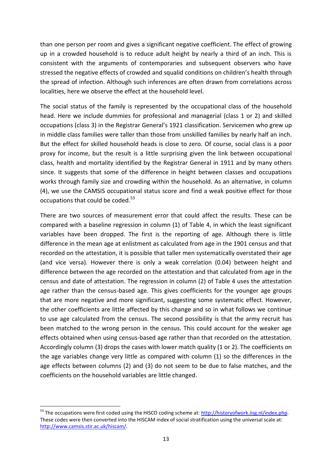than one person per room and gives a significant negative coefficient. The effect of growing up in a crowded household is to reduce adult height by nearly a third of an inch. This is consistent with the arguments of contemporaries and subsequent observers who have stressed the negative effects of crowded and squalid conditions on children's health through the spread of infection. Although such inferences are often drawn from correlations across localities, here we observe the effect at the household level.

The social status of the family is represented by the occupational class of the household head. Here we include dummies for professional and managerial (class 1 or 2) and skilled occupations (class 3) in the Registrar General's 1921 classification. Servicemen who grew up in middle class families were taller than those from unskilled families by nearly half an inch. But the effect for skilled household heads is close to zero. Of course, social class is a poor proxy for income, but the result is a little surprising given the link between occupational class, health and mortality identified by the Registrar General in 1911 and by many others since. It suggests that some of the difference in height between classes and occupations works through family size and crowding within the household. As an alternative, in column (4), we use the CAMSIS occupational status score and find a weak positive effect for those occupations that could be coded.<sup>53</sup>

There are two sources of measurement error that could affect the results. These can be compared with a baseline regression in column (1) of Table 4, in which the least significant variables have been dropped. The first is the reporting of age. Although there is little difference in the mean age at enlistment as calculated from age in the 1901 census and that recorded on the attestation, it is possible that taller men systematically overstated their age (and vice versa). However there is only a weak correlation (0.04) between height and difference between the age recorded on the attestation and that calculated from age in the census and date of attestation. The regression in column (2) of Table 4 uses the attestation age rather than the census-based age. This gives coefficients for the younger age groups that are more negative and more significant, suggesting some systematic effect. However, the other coefficients are little affected by this change and so in what follows we continue to use age calculated from the census. The second possibility is that the army recruit has been matched to the wrong person in the census. This could account for the weaker age effects obtained when using census-based age rather than that recorded on the attestation. Accordingly column (3) drops the cases with lower match quality (1 or 2). The coefficients on the age variables change very little as compared with column (1) so the differences in the age effects between columns (2) and (3) do not seem to be due to false matches, and the coefficients on the household variables are little changed.

<sup>&</sup>lt;sup>53</sup> The occupations were first coded using the HISCO coding scheme at: [http://historyofwork.iisg.nl/index.php.](http://historyofwork.iisg.nl/index.php) These codes were then converted into the HISCAM index of social stratification using the universal scale at: [http://www.camsis.stir.ac.uk/hiscam/.](http://www.camsis.stir.ac.uk/hiscam/)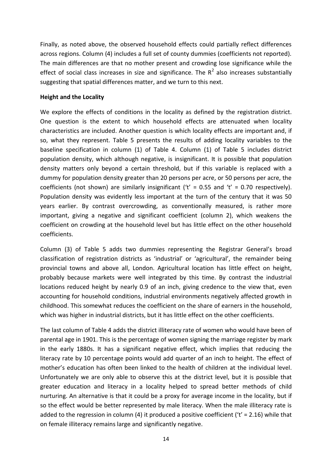Finally, as noted above, the observed household effects could partially reflect differences across regions. Column (4) includes a full set of county dummies (coefficients not reported). The main differences are that no mother present and crowding lose significance while the effect of social class increases in size and significance. The  $R^2$  also increases substantially suggesting that spatial differences matter, and we turn to this next.

#### **Height and the Locality**

We explore the effects of conditions in the locality as defined by the registration district. One question is the extent to which household effects are attenuated when locality characteristics are included. Another question is which locality effects are important and, if so, what they represent. Table 5 presents the results of adding locality variables to the baseline specification in column (1) of Table 4. Column (1) of Table 5 includes district population density, which although negative, is insignificant. It is possible that population density matters only beyond a certain threshold, but if this variable is replaced with a dummy for population density greater than 20 persons per acre, or 50 persons per acre, the coefficients (not shown) are similarly insignificant ( $t' = 0.55$  and  $t' = 0.70$  respectively). Population density was evidently less important at the turn of the century that it was 50 years earlier. By contrast overcrowding, as conventionally measured, is rather more important, giving a negative and significant coefficient (column 2), which weakens the coefficient on crowding at the household level but has little effect on the other household coefficients.

Column (3) of Table 5 adds two dummies representing the Registrar General's broad classification of registration districts as 'industrial' or 'agricultural', the remainder being provincial towns and above all, London. Agricultural location has little effect on height, probably because markets were well integrated by this time. By contrast the industrial locations reduced height by nearly 0.9 of an inch, giving credence to the view that, even accounting for household conditions, industrial environments negatively affected growth in childhood. This somewhat reduces the coefficient on the share of earners in the household, which was higher in industrial districts, but it has little effect on the other coefficients.

The last column of Table 4 adds the district illiteracy rate of women who would have been of parental age in 1901. This is the percentage of women signing the marriage register by mark in the early 1880s. It has a significant negative effect, which implies that reducing the literacy rate by 10 percentage points would add quarter of an inch to height. The effect of mother's education has often been linked to the health of children at the individual level. Unfortunately we are only able to observe this at the district level, but it is possible that greater education and literacy in a locality helped to spread better methods of child nurturing. An alternative is that it could be a proxy for average income in the locality, but if so the effect would be better represented by male literacy. When the male illiteracy rate is added to the regression in column (4) it produced a positive coefficient ( $t' = 2.16$ ) while that on female illiteracy remains large and significantly negative.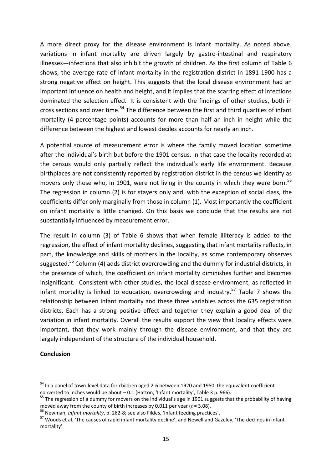A more direct proxy for the disease environment is infant mortality. As noted above, variations in infant mortality are driven largely by gastro-intestinal and respiratory illnesses—infections that also inhibit the growth of children. As the first column of Table 6 shows, the average rate of infant mortality in the registration district in 1891-1900 has a strong negative effect on height. This suggests that the local disease environment had an important influence on health and height, and it implies that the scarring effect of infections dominated the selection effect. It is consistent with the findings of other studies, both in cross sections and over time.<sup>54</sup> The difference between the first and third quartiles of infant mortality (4 percentage points) accounts for more than half an inch in height while the difference between the highest and lowest deciles accounts for nearly an inch.

A potential source of measurement error is where the family moved location sometime after the individual's birth but before the 1901 census. In that case the locality recorded at the census would only partially reflect the individual's early life environment. Because birthplaces are not consistently reported by registration district in the census we identify as movers only those who, in 1901, were not living in the county in which they were born.<sup>55</sup> The regression in column (2) is for stayers only and, with the exception of social class, the coefficients differ only marginally from those in column (1). Most importantly the coefficient on infant mortality is little changed. On this basis we conclude that the results are not substantially influenced by measurement error.

The result in column (3) of Table 6 shows that when female illiteracy is added to the regression, the effect of infant mortality declines, suggesting that infant mortality reflects, in part, the knowledge and skills of mothers in the locality, as some contemporary observes suggested.<sup>56</sup> Column (4) adds district overcrowding and the dummy for industrial districts, in the presence of which, the coefficient on infant mortality diminishes further and becomes insignificant. Consistent with other studies, the local disease environment, as reflected in infant mortality is linked to education, overcrowding and industry.<sup>57</sup> Table 7 shows the relationship between infant mortality and these three variables across the 635 registration districts. Each has a strong positive effect and together they explain a good deal of the variation in infant mortality. Overall the results support the view that locality effects were important, that they work mainly through the disease environment, and that they are largely independent of the structure of the individual household.

#### **Conclusion**

 $\overline{a}$ 

<sup>&</sup>lt;sup>54</sup> In a panel of town-level data for children aged 2-6 between 1920 and 1950 the equivalent coefficient converted to inches would be about – 0.1 (Hatton, 'Infant mortality', Table 3 p. 966).

<sup>&</sup>lt;sup>55</sup> The regression of a dummy for movers on the individual's age in 1901 suggests that the probability of having moved away from the county of birth increases by 0.011 per year (*t* = 3.08).

<sup>56</sup> Newman, *Infant mortality*, p. 262-8; see also Fildes, 'Infant feeding practices'.

<sup>57</sup> Woods et al. 'The causes of rapid infant mortality decline', and Newell and Gazeley, 'The declines in infant mortality'.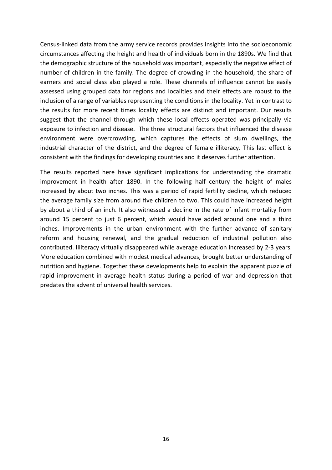Census-linked data from the army service records provides insights into the socioeconomic circumstances affecting the height and health of individuals born in the 1890s. We find that the demographic structure of the household was important, especially the negative effect of number of children in the family. The degree of crowding in the household, the share of earners and social class also played a role. These channels of influence cannot be easily assessed using grouped data for regions and localities and their effects are robust to the inclusion of a range of variables representing the conditions in the locality. Yet in contrast to the results for more recent times locality effects are distinct and important. Our results suggest that the channel through which these local effects operated was principally via exposure to infection and disease. The three structural factors that influenced the disease environment were overcrowding, which captures the effects of slum dwellings, the industrial character of the district, and the degree of female illiteracy. This last effect is consistent with the findings for developing countries and it deserves further attention.

The results reported here have significant implications for understanding the dramatic improvement in health after 1890. In the following half century the height of males increased by about two inches. This was a period of rapid fertility decline, which reduced the average family size from around five children to two. This could have increased height by about a third of an inch. It also witnessed a decline in the rate of infant mortality from around 15 percent to just 6 percent, which would have added around one and a third inches. Improvements in the urban environment with the further advance of sanitary reform and housing renewal, and the gradual reduction of industrial pollution also contributed. Illiteracy virtually disappeared while average education increased by 2-3 years. More education combined with modest medical advances, brought better understanding of nutrition and hygiene. Together these developments help to explain the apparent puzzle of rapid improvement in average health status during a period of war and depression that predates the advent of universal health services.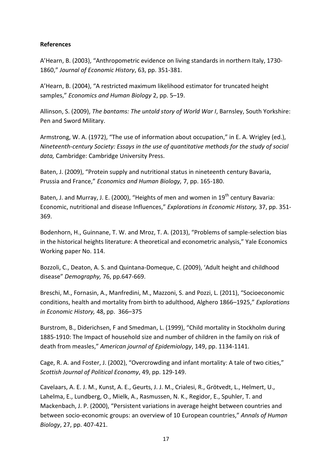#### **References**

A'Hearn, B. (2003), "Anthropometric evidence on living standards in northern Italy, 1730- 1860," *Journal of Economic History*, 63, pp. 351-381.

A'Hearn, B. (2004), "A restricted maximum likelihood estimator for truncated height samples," *Economics and Human Biology* 2, pp. 5–19.

Allinson, S. (2009), *The bantams: The untold story of World War I*, Barnsley, South Yorkshire: Pen and Sword Military.

Armstrong, W. A. (1972), "The use of information about occupation," in E. A. Wrigley (ed.), *Nineteenth-century Society: Essays in the use of quantitative methods for the study of social data,* Cambridge: Cambridge University Press.

Baten, J. (2009), "Protein supply and nutritional status in nineteenth century Bavaria, Prussia and France," *Economics and Human Biology,* 7, pp. 165-180.

Baten, J. and Murray, J. E. (2000), "Heights of men and women in 19<sup>th</sup> century Bavaria: Economic, nutritional and disease Influences," *Explorations in Economic History,* 37, pp. 351- 369.

Bodenhorn, H., Guinnane, T. W. and Mroz, T. A. (2013), "Problems of sample-selection bias in the historical heights literature: A theoretical and econometric analysis," Yale Economics Working paper No. 114.

Bozzoli, C., Deaton, A. S. and Quintana-Domeque, C. (2009), 'Adult height and childhood disease" *Demography,* 76, pp.647-669.

Breschi, M., Fornasin, A., Manfredini, M., Mazzoni, S. and Pozzi, L. (2011), "Socioeconomic conditions, health and mortality from birth to adulthood, Alghero 1866–1925," *Explorations in Economic History,* 48, pp. 366–375

Burstrom, B., Diderichsen, F and Smedman, L. (1999), "Child mortality in Stockholm during 1885-1910: The Impact of household size and number of children in the family on risk of death from measles," *American journal of Epidemiology*, 149, pp. 1134-1141.

Cage, R. A. and Foster, J. (2002), "Overcrowding and infant mortality: A tale of two cities," *Scottish Journal of Political Economy*, 49, pp. 129-149.

Cavelaars, A. E. J. M., Kunst, A. E., Geurts, J. J. M., Crialesi, R., Grötvedt, L., Helmert, U., Lahelma, E., Lundberg, O., Mielk, A., Rasmussen, N. K., Regidor, E., Spuhler, T. and Mackenbach, J. P. (2000), "Persistent variations in average height between countries and between socio-economic groups: an overview of 10 European countries," *Annals of Human Biology*, 27, pp. 407-421.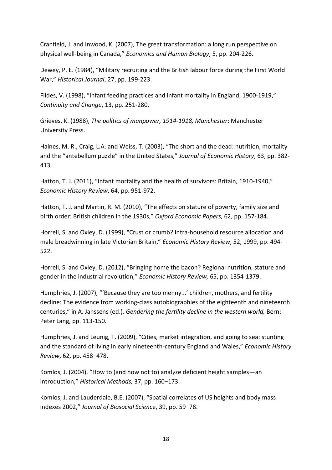Cranfield, J. and Inwood, K. (2007), The great transformation: a long run perspective on physical well-being in Canada," *Economics and Human Biology*, 5, pp. 204-226.

Dewey, P. E. (1984), "Military recruiting and the British labour force during the First World War," *Historical Journal*, 27, pp. 199-223.

Fildes, V. (1998), "Infant feeding practices and infant mortality in England, 1900-1919," *Continuity and Change*, 13, pp. 251-280.

Grieves, K. (1988), *The politics of manpower, 1914-1918, Manchester*: Manchester University Press.

Haines, M. R., Craig, L.A. and Weiss, T. (2003), "The short and the dead: nutrition, mortality and the "antebellum puzzle" in the United States," *Journal of Economic History*, 63, pp. 382- 413.

Hatton, T. J. (2011), "Infant mortality and the health of survivors: Britain, 1910-1940." *Economic History Review*, 64, pp. 951-972.

Hatton, T. J. and Martin, R. M. (2010), "The effects on stature of poverty, family size and birth order: British children in the 1930s," *Oxford Economic Papers,* 62, pp. 157-184.

Horrell, S. and Oxley, D. (1999), "Crust or crumb? Intra-household resource allocation and male breadwinning in late Victorian Britain," *Economic History Review*, 52, 1999, pp. 494- 522.

Horrell, S. and Oxley, D. (2012), "Bringing home the bacon? Regional nutrition, stature and gender in the industrial revolution," *Economic History Review,* 65, pp. 1354-1379.

Humphries, J. (2007), "'Because they are too menny...' children, mothers, and fertility decline: The evidence from working-class autobiographies of the eighteenth and nineteenth centuries," in A. Janssens (ed.), *Gendering the fertility decline in the western world,* Bern: Peter Lang, pp. 113-150.

Humphries, J. and Leunig, T. (2009), "Cities, market integration, and going to sea: stunting and the standard of living in early nineteenth-century England and Wales," *Economic History Review*, 62, pp. 458–478.

Komlos, J. (2004), "How to (and how not to) anal*y*ze deficient height samples—an introduction," *Historical Methods,* 37, pp. 160–173.

Komlos, J. and Lauderdale, B.E. (2007), "Spatial correlates of US heights and body mass indexes 2002," *Journal of Biosocial Scienc*e, 39, pp. 59–78.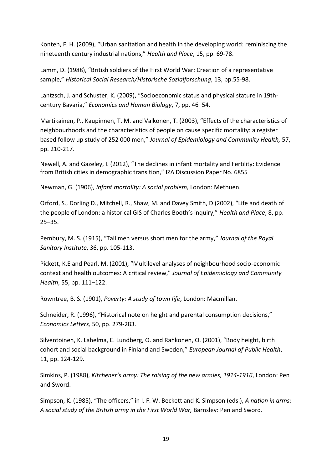Konteh, F. H. (2009), "Urban sanitation and health in the developing world: reminiscing the nineteenth century industrial nations," *Health and Place*, 15, pp. 69-78.

Lamm, D. (1988), "British soldiers of the First World War: Creation of a representative sample," *Historical Social Research/Historische Sozialforschung*, 13, pp.55-98.

Lantzsch, J. and Schuster, K. (2009), "Socioeconomic status and physical stature in 19thcentury Bavaria," *Economics and Human Biology*, 7, pp. 46–54.

Martikainen, P., Kaupinnen, T. M. and Valkonen, T. (2003), "Effects of the characteristics of neighbourhoods and the characteristics of people on cause specific mortality: a register based follow up study of 252 000 men," *Journal of Epidemiology and Community Health,* 57, pp. 210-217.

Newell, A. and Gazeley, I. (2012), "The declines in infant mortality and Fertility: Evidence from British cities in demographic transition," IZA Discussion Paper No. 6855

Newman, G. (1906), *Infant mortality: A social problem,* London: Methuen.

Orford, S., Dorling D., Mitchell, R., Shaw, M. and Davey Smith, D (2002), "Life and death of the people of London: a historical GIS of Charles Booth's inquiry," *Health and Place*, 8, pp. 25–35.

Pembury, M. S. (1915), "Tall men versus short men for the army," *Journal of the Royal Sanitary Institute*, 36, pp. 105-113.

Pickett, K.E and Pearl, M. (2001), "Multilevel analyses of neighbourhood socio-economic context and health outcomes: A critical review," *Journal of Epidemiology and Community Health*, 55, pp. 111–122.

Rowntree, B. S. (1901), *Poverty: A study of town life*, London: Macmillan.

Schneider, R. (1996), "Historical note on height and parental consumption decisions," *Economics Letters,* 50, pp. 279-283.

Silventoinen, K. Lahelma, E. Lundberg, O. and Rahkonen, O. (2001), "Body height, birth cohort and social background in Finland and Sweden," *European Journal of Public Health*, 11, pp. 124-129.

Simkins, P. (1988), *Kitchener's army: The raising of the new armies, 1914-1916*, London: Pen and Sword.

Simpson, K. (1985), "The officers," in I. F. W. Beckett and K. Simpson (eds.), *A nation in arms: A social study of the British army in the First World War,* Barnsley: Pen and Sword.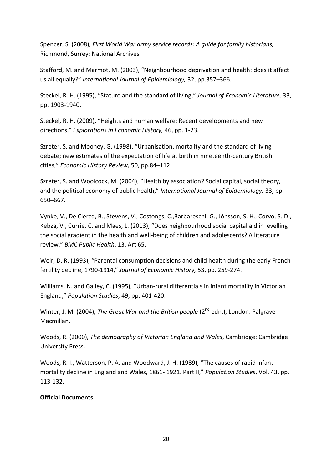Spencer, S. (2008), *First World War army service records: A guide for family historians,*  Richmond, Surrey: National Archives.

Stafford, M. and Marmot, M. (2003), "Neighbourhood deprivation and health: does it affect us all equally?" *International Journal of Epidemiology,* 32, pp.357–366.

Steckel, R. H. (1995), "Stature and the standard of living," *Journal of Economic Literature,* 33, pp. 1903-1940.

Steckel, R. H. (2009), "Heights and human welfare: Recent developments and new directions," *Explorations in Economic History,* 46, pp. 1-23.

Szreter, S. and Mooney, G. (1998), "Urbanisation, mortality and the standard of living debate; new estimates of the expectation of life at birth in nineteenth-century British cities," *Economic History Review,* 50, pp.84–112.

Szreter, S. and Woolcock, M. (2004), "Health by association? Social capital, social theory, and the political economy of public health," *International Journal of Epidemiology,* 33, pp. 650–667.

Vynke, V., De Clercq, B., Stevens, V., Costongs, C.,Barbareschi, G., Jónsson, S. H., Corvo, S. D., Kebza, V., Currie, C. and Maes, L. (2013), "Does neighbourhood social capital aid in levelling the social gradient in the health and well-being of children and adolescents? A literature review," *BMC Public Health*, 13, Art 65.

Weir, D. R. (1993), "Parental consumption decisions and child health during the early French fertility decline, 1790-1914," *Journal of Economic History,* 53, pp. 259-274.

Williams, N. and Galley, C. (1995), "Urban-rural differentials in infant mortality in Victorian England," *Population Studies*, 49, pp. 401-420.

Winter, J. M. (2004), *The Great War and the British people* (2<sup>nd</sup> edn.), London: Palgrave Macmillan.

Woods, R. (2000), *The demography of Victorian England and Wales*, Cambridge: Cambridge University Press.

Woods, R. I., Watterson, P. A. and Woodward, J. H. (1989), "The causes of rapid infant mortality decline in England and Wales, 1861- 1921. Part II," *Population Studies*, Vol. 43, pp. 113-132.

#### **Official Documents**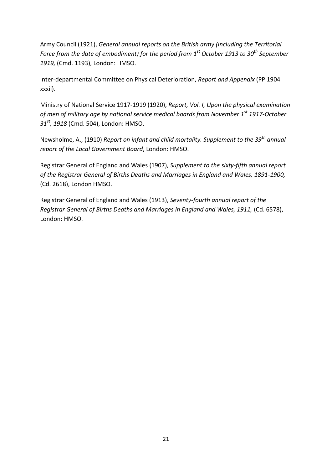Army Council (1921), *General annual reports on the British army (Including the Territorial Force from the date of embodiment) for the period from 1st October 1913 to 30th September 1919,* (Cmd. 1193), London: HMSO.

Inter-departmental Committee on Physical Deterioration, *Report and Appendix* (PP 1904 xxxii).

Ministry of National Service 1917-1919 (1920), *Report, Vol. I, Upon the physical examination of men of military age by national service medical boards from November 1st 1917-October 31st, 1918* (Cmd. 504), London: HMSO.

Newsholme, A., (1910) *Report on infant and child mortality. Supplement to the 39th annual report of the Local Government Board*, London: HMSO.

Registrar General of England and Wales (1907), *Supplement to the sixty-fifth annual report of the Registrar General of Births Deaths and Marriages in England and Wales, 1891-1900,*  (Cd. 2618), London HMSO.

Registrar General of England and Wales (1913), *Seventy-fourth annual report of the Registrar General of Births Deaths and Marriages in England and Wales, 1911,* (Cd. 6578), London: HMSO.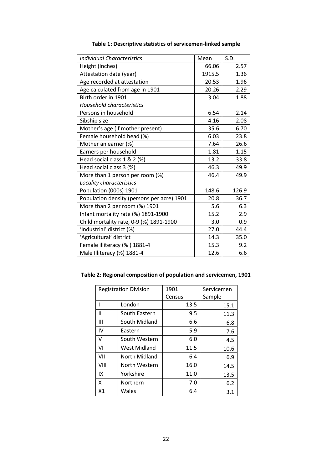| <b>Individual Characteristics</b>          | Mean   | S.D.  |
|--------------------------------------------|--------|-------|
| Height (inches)                            | 66.06  | 2.57  |
| Attestation date (year)                    | 1915.5 | 1.36  |
| Age recorded at attestation                | 20.53  | 1.96  |
| Age calculated from age in 1901            | 20.26  | 2.29  |
| Birth order in 1901                        | 3.04   | 1.88  |
| <b>Household characteristics</b>           |        |       |
| Persons in household                       | 6.54   | 2.14  |
| Sibship size                               | 4.16   | 2.08  |
| Mother's age (if mother present)           | 35.6   | 6.70  |
| Female household head (%)                  | 6.03   | 23.8  |
| Mother an earner (%)                       | 7.64   | 26.6  |
| Earners per household                      | 1.81   | 1.15  |
| Head social class 1 & 2 (%)                | 13.2   | 33.8  |
| Head social class 3 (%)                    | 46.3   | 49.9  |
| More than 1 person per room (%)            | 46.4   | 49.9  |
| Locality characteristics                   |        |       |
| Population (000s) 1901                     | 148.6  | 126.9 |
| Population density (persons per acre) 1901 | 20.8   | 36.7  |
| More than 2 per room (%) 1901              | 5.6    | 6.3   |
| Infant mortality rate (%) 1891-1900        | 15.2   | 2.9   |
| Child mortality rate, 0-9 (%) 1891-1900    | 3.0    | 0.9   |
| 'Industrial' district (%)                  | 27.0   | 44.4  |
| 'Agricultural' district                    | 14.3   | 35.0  |
| Female illiteracy (%) 1881-4               | 15.3   | 9.2   |
| Male Illiteracy (%) 1881-4                 | 12.6   | 6.6   |

## **Table 1: Descriptive statistics of servicemen-linked sample**

## **Table 2: Regional composition of population and servicemen, 1901**

| <b>Registration Division</b> |               | 1901   | Servicemen |  |
|------------------------------|---------------|--------|------------|--|
|                              |               | Census | Sample     |  |
| ı                            | London        | 13.5   | 15.1       |  |
| Ш                            | South Eastern | 9.5    | 11.3       |  |
| Ш                            | South Midland | 6.6    | 6.8        |  |
| IV                           | Eastern       | 5.9    | 7.6        |  |
| v                            | South Western | 6.0    | 4.5        |  |
| VI                           | West Midland  | 11.5   | 10.6       |  |
| VII                          | North Midland | 6.4    | 6.9        |  |
| VIII                         | North Western | 16.0   | 14.5       |  |
| IX                           | Yorkshire     | 11.0   | 13.5       |  |
| x                            | Northern      | 7.0    | 6.2        |  |
| X <sub>1</sub>               | Wales         | 6.4    | 3.1        |  |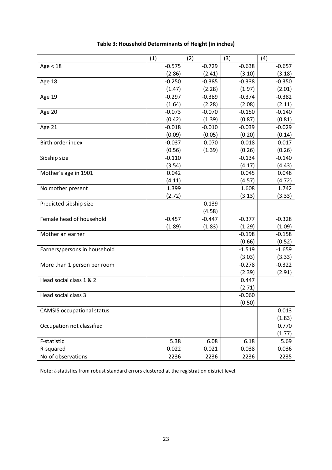|                                   | (1)      | (2)      | (3)      | (4)      |
|-----------------------------------|----------|----------|----------|----------|
| Age < 18                          | $-0.575$ | $-0.729$ | $-0.638$ | $-0.657$ |
|                                   | (2.86)   | (2.41)   | (3.10)   | (3.18)   |
| Age 18                            | $-0.250$ | $-0.385$ | $-0.338$ | $-0.350$ |
|                                   | (1.47)   | (2.28)   | (1.97)   | (2.01)   |
| Age 19                            | $-0.297$ | $-0.389$ | $-0.374$ | $-0.382$ |
|                                   | (1.64)   | (2.28)   | (2.08)   | (2.11)   |
| Age 20                            | $-0.073$ | $-0.070$ | $-0.150$ | $-0.140$ |
|                                   | (0.42)   | (1.39)   | (0.87)   | (0.81)   |
| Age 21                            | $-0.018$ | $-0.010$ | $-0.039$ | $-0.029$ |
|                                   | (0.09)   | (0.05)   | (0.20)   | (0.14)   |
| Birth order index                 | $-0.037$ | 0.070    | 0.018    | 0.017    |
|                                   | (0.56)   | (1.39)   | (0.26)   | (0.26)   |
| Sibship size                      | $-0.110$ |          | $-0.134$ | $-0.140$ |
|                                   | (3.54)   |          | (4.17)   | (4.43)   |
| Mother's age in 1901              | 0.042    |          | 0.045    | 0.048    |
|                                   | (4.11)   |          | (4.57)   | (4.72)   |
| No mother present                 | 1.399    |          | 1.608    | 1.742    |
|                                   | (2.72)   |          | (3.13)   | (3.33)   |
| Predicted sibship size            |          | $-0.139$ |          |          |
|                                   |          | (4.58)   |          |          |
| Female head of household          | $-0.457$ | $-0.447$ | $-0.377$ | $-0.328$ |
|                                   | (1.89)   | (1.83)   | (1.29)   | (1.09)   |
| Mother an earner                  |          |          | $-0.198$ | $-0.158$ |
|                                   |          |          | (0.66)   | (0.52)   |
| Earners/persons in household      |          |          | $-1.519$ | $-1.659$ |
|                                   |          |          | (3.03)   | (3.33)   |
| More than 1 person per room       |          |          | $-0.278$ | $-0.322$ |
|                                   |          |          | (2.39)   | (2.91)   |
| Head social class 1 & 2           |          |          | 0.447    |          |
|                                   |          |          | (2.71)   |          |
| Head social class 3               |          |          | $-0.060$ |          |
|                                   |          |          | (0.50)   |          |
| <b>CAMSIS</b> occupational status |          |          |          | 0.013    |
|                                   |          |          |          | (1.83)   |
| Occupation not classified         |          |          |          | 0.770    |
|                                   |          |          |          | (1.77)   |
| F-statistic                       | 5.38     | 6.08     | 6.18     | 5.69     |
| R-squared                         | 0.022    | 0.021    | 0.038    | 0.036    |
| No of observations                | 2236     | 2236     | 2236     | 2235     |

## **Table 3: Household Determinants of Height (in inches)**

Note: *t*-statistics from robust standard errors clustered at the registration district level.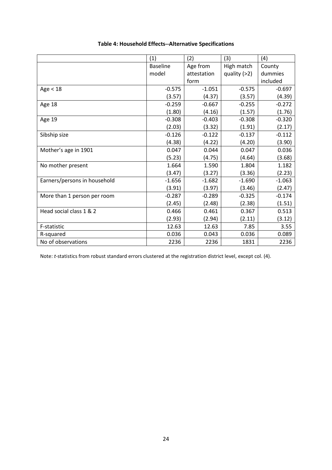|                              | (1)             | (2)         | (3)            | (4)      |
|------------------------------|-----------------|-------------|----------------|----------|
|                              | <b>Baseline</b> | Age from    | High match     | County   |
|                              | model           | attestation | quality $(>2)$ | dummies  |
|                              |                 | form        |                | included |
| Age < 18                     | $-0.575$        | $-1.051$    | $-0.575$       | $-0.697$ |
|                              | (3.57)          | (4.37)      | (3.57)         | (4.39)   |
| Age 18                       | $-0.259$        | $-0.667$    | $-0.255$       | $-0.272$ |
|                              | (1.80)          | (4.16)      | (1.57)         | (1.76)   |
| Age 19                       | $-0.308$        | $-0.403$    | $-0.308$       | $-0.320$ |
|                              | (2.03)          | (3.32)      | (1.91)         | (2.17)   |
| Sibship size                 | $-0.126$        | $-0.122$    | $-0.137$       | $-0.112$ |
|                              | (4.38)          | (4.22)      | (4.20)         | (3.90)   |
| Mother's age in 1901         | 0.047           | 0.044       | 0.047          | 0.036    |
|                              | (5.23)          | (4.75)      | (4.64)         | (3.68)   |
| No mother present            | 1.664           | 1.590       | 1.804          | 1.182    |
|                              | (3.47)          | (3.27)      | (3.36)         | (2.23)   |
| Earners/persons in household | $-1.656$        | $-1.682$    | $-1.690$       | $-1.063$ |
|                              | (3.91)          | (3.97)      | (3.46)         | (2.47)   |
| More than 1 person per room  | $-0.287$        | $-0.289$    | $-0.325$       | $-0.174$ |
|                              | (2.45)          | (2.48)      | (2.38)         | (1.51)   |
| Head social class 1 & 2      | 0.466           | 0.461       | 0.367          | 0.513    |
|                              | (2.93)          | (2.94)      | (2.11)         | (3.12)   |
| F-statistic                  | 12.63           | 12.63       | 7.85           | 3.55     |
| R-squared                    | 0.036           | 0.043       | 0.036          | 0.089    |
| No of observations           | 2236            | 2236        | 1831           | 2236     |

## **Table 4: Household Effects--Alternative Specifications**

Note: *t*-statistics from robust standard errors clustered at the registration district level, except col. (4).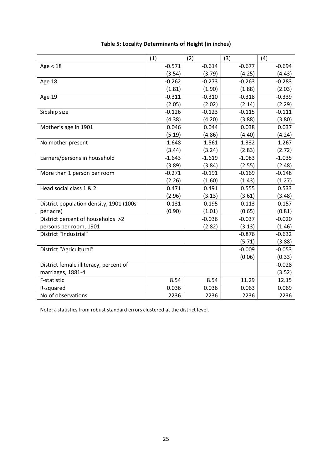|                                         | (1)      | (2)      | (3)      | (4)      |
|-----------------------------------------|----------|----------|----------|----------|
| Age < 18                                | $-0.571$ | $-0.614$ | $-0.677$ | $-0.694$ |
|                                         | (3.54)   | (3.79)   | (4.25)   | (4.43)   |
| Age 18                                  | $-0.262$ | $-0.273$ | $-0.263$ | $-0.283$ |
|                                         | (1.81)   | (1.90)   | (1.88)   | (2.03)   |
| Age 19                                  | $-0.311$ | $-0.310$ | $-0.318$ | $-0.339$ |
|                                         | (2.05)   | (2.02)   | (2.14)   | (2.29)   |
| Sibship size                            | $-0.126$ | $-0.123$ | $-0.115$ | $-0.111$ |
|                                         | (4.38)   | (4.20)   | (3.88)   | (3.80)   |
| Mother's age in 1901                    | 0.046    | 0.044    | 0.038    | 0.037    |
|                                         | (5.19)   | (4.86)   | (4.40)   | (4.24)   |
| No mother present                       | 1.648    | 1.561    | 1.332    | 1.267    |
|                                         | (3.44)   | (3.24)   | (2.83)   | (2.72)   |
| Earners/persons in household            | $-1.643$ | $-1.619$ | $-1.083$ | $-1.035$ |
|                                         | (3.89)   | (3.84)   | (2.55)   | (2.48)   |
| More than 1 person per room             | $-0.271$ | $-0.191$ | $-0.169$ | $-0.148$ |
|                                         | (2.26)   | (1.60)   | (1.43)   | (1.27)   |
| Head social class 1 & 2                 | 0.471    | 0.491    | 0.555    | 0.533    |
|                                         | (2.96)   | (3.13)   | (3.61)   | (3.48)   |
| District population density, 1901 (100s | $-0.131$ | 0.195    | 0.113    | $-0.157$ |
| per acre)                               | (0.90)   | (1.01)   | (0.65)   | (0.81)   |
| District percent of households >2       |          | $-0.036$ | $-0.037$ | $-0.020$ |
| persons per room, 1901                  |          | (2.82)   | (3.13)   | (1.46)   |
| District "Industrial"                   |          |          | $-0.876$ | $-0.632$ |
|                                         |          |          | (5.71)   | (3.88)   |
| District "Agricultural"                 |          |          | $-0.009$ | $-0.053$ |
|                                         |          |          | (0.06)   | (0.33)   |
| District female illiteracy, percent of  |          |          |          | $-0.028$ |
| marriages, 1881-4                       |          |          |          | (3.52)   |
| F-statistic                             | 8.54     | 8.54     | 11.29    | 12.15    |
| R-squared                               | 0.036    | 0.036    | 0.063    | 0.069    |
| No of observations                      | 2236     | 2236     | 2236     | 2236     |

## **Table 5: Locality Determinants of Height (in inches)**

Note: *t*-statistics from robust standard errors clustered at the district level.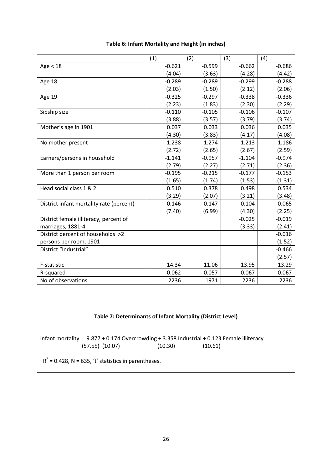|                                          | (1)      | (2)      | (3)      | (4)      |
|------------------------------------------|----------|----------|----------|----------|
| Age < 18                                 | $-0.621$ | $-0.599$ | $-0.662$ | $-0.686$ |
|                                          | (4.04)   | (3.63)   | (4.28)   | (4.42)   |
| Age 18                                   | $-0.289$ | $-0.289$ | $-0.299$ | $-0.288$ |
|                                          | (2.03)   | (1.50)   | (2.12)   | (2.06)   |
| Age 19                                   | $-0.325$ | $-0.297$ | $-0.338$ | $-0.336$ |
|                                          | (2.23)   | (1.83)   | (2.30)   | (2.29)   |
| Sibship size                             | $-0.110$ | $-0.105$ | $-0.106$ | $-0.107$ |
|                                          | (3.88)   | (3.57)   | (3.79)   | (3.74)   |
| Mother's age in 1901                     | 0.037    | 0.033    | 0.036    | 0.035    |
|                                          | (4.30)   | (3.83)   | (4.17)   | (4.08)   |
| No mother present                        | 1.238    | 1.274    | 1.213    | 1.186    |
|                                          | (2.72)   | (2.65)   | (2.67)   | (2.59)   |
| Earners/persons in household             | $-1.141$ | $-0.957$ | $-1.104$ | $-0.974$ |
|                                          | (2.79)   | (2.27)   | (2.71)   | (2.36)   |
| More than 1 person per room              | $-0.195$ | $-0.215$ | $-0.177$ | $-0.153$ |
|                                          | (1.65)   | (1.74)   | (1.53)   | (1.31)   |
| Head social class 1 & 2                  | 0.510    | 0.378    | 0.498    | 0.534    |
|                                          | (3.29)   | (2.07)   | (3.21)   | (3.48)   |
| District infant mortality rate (percent) | $-0.146$ | $-0.147$ | $-0.104$ | $-0.065$ |
|                                          | (7.40)   | (6.99)   | (4.30)   | (2.25)   |
| District female illiteracy, percent of   |          |          | $-0.025$ | $-0.019$ |
| marriages, 1881-4                        |          |          | (3.33)   | (2.41)   |
| District percent of households >2        |          |          |          | $-0.016$ |
| persons per room, 1901                   |          |          |          | (1.52)   |
| District "Industrial"                    |          |          |          | $-0.466$ |
|                                          |          |          |          | (2.57)   |
| F-statistic                              | 14.34    | 11.06    | 13.95    | 13.29    |
| R-squared                                | 0.062    | 0.057    | 0.067    | 0.067    |
| No of observations                       | 2236     | 1971     | 2236     | 2236     |

#### **Table 6: Infant Mortality and Height (in inches)**

#### **Table 7: Determinants of Infant Mortality (District Level)**

Infant mortality = 9.877 + 0.174 Overcrowding + 3.358 Industrial + 0.123 Female illiteracy  $(57.55)$   $(10.07)$ 

 $R^2$  = 0.428, N = 635, 't' statistics in parentheses.